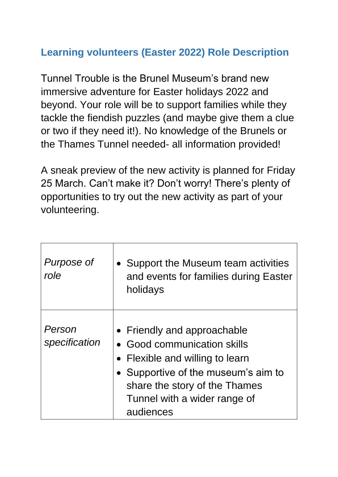## **Learning volunteers (Easter 2022) Role Description**

Tunnel Trouble is the Brunel Museum's brand new immersive adventure for Easter holidays 2022 and beyond. Your role will be to support families while they tackle the fiendish puzzles (and maybe give them a clue or two if they need it!). No knowledge of the Brunels or the Thames Tunnel needed- all information provided!

A sneak preview of the new activity is planned for Friday 25 March. Can't make it? Don't worry! There's plenty of opportunities to try out the new activity as part of your volunteering.

| Purpose of<br>role      | Support the Museum team activities<br>and events for families during Easter<br>holidays                                                                                                                            |
|-------------------------|--------------------------------------------------------------------------------------------------------------------------------------------------------------------------------------------------------------------|
| Person<br>specification | • Friendly and approachable<br>• Good communication skills<br>• Flexible and willing to learn<br>• Supportive of the museum's aim to<br>share the story of the Thames<br>Tunnel with a wider range of<br>audiences |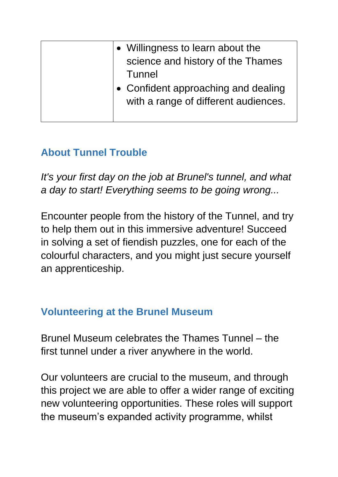| • Willingness to learn about the<br>science and history of the Thames<br>Tunnel |
|---------------------------------------------------------------------------------|
| • Confident approaching and dealing<br>with a range of different audiences.     |

## **About Tunnel Trouble**

*It's your first day on the job at Brunel's tunnel, and what a day to start! Everything seems to be going wrong...*

Encounter people from the history of the Tunnel, and try to help them out in this immersive adventure! Succeed in solving a set of fiendish puzzles, one for each of the colourful characters, and you might just secure yourself an apprenticeship.

## **Volunteering at the Brunel Museum**

Brunel Museum celebrates the Thames Tunnel – the first tunnel under a river anywhere in the world.

Our volunteers are crucial to the museum, and through this project we are able to offer a wider range of exciting new volunteering opportunities. These roles will support the museum's expanded activity programme, whilst